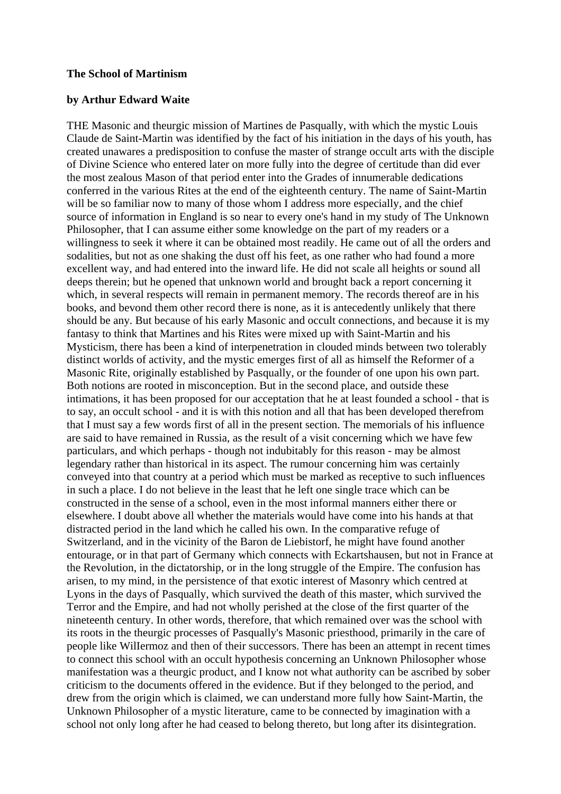## **The School of Martinism**

## **by Arthur Edward Waite**

THE Masonic and theurgic mission of Martines de Pasqually, with which the mystic Louis Claude de Saint-Martin was identified by the fact of his initiation in the days of his youth, has created unawares a predisposition to confuse the master of strange occult arts with the disciple of Divine Science who entered later on more fully into the degree of certitude than did ever the most zealous Mason of that period enter into the Grades of innumerable dedications conferred in the various Rites at the end of the eighteenth century. The name of Saint-Martin will be so familiar now to many of those whom I address more especially, and the chief source of information in England is so near to every one's hand in my study of The Unknown Philosopher, that I can assume either some knowledge on the part of my readers or a willingness to seek it where it can be obtained most readily. He came out of all the orders and sodalities, but not as one shaking the dust off his feet, as one rather who had found a more excellent way, and had entered into the inward life. He did not scale all heights or sound all deeps therein; but he opened that unknown world and brought back a report concerning it which, in several respects will remain in permanent memory. The records thereof are in his books, and bevond them other record there is none, as it is antecedently unlikely that there should be any. But because of his early Masonic and occult connections, and because it is my fantasy to think that Martines and his Rites were mixed up with Saint-Martin and his Mysticism, there has been a kind of interpenetration in clouded minds between two tolerably distinct worlds of activity, and the mystic emerges first of all as himself the Reformer of a Masonic Rite, originally established by Pasqually, or the founder of one upon his own part. Both notions are rooted in misconception. But in the second place, and outside these intimations, it has been proposed for our acceptation that he at least founded a school - that is to say, an occult school - and it is with this notion and all that has been developed therefrom that I must say a few words first of all in the present section. The memorials of his influence are said to have remained in Russia, as the result of a visit concerning which we have few particulars, and which perhaps - though not indubitably for this reason - may be almost legendary rather than historical in its aspect. The rumour concerning him was certainly conveyed into that country at a period which must be marked as receptive to such influences in such a place. I do not believe in the least that he left one single trace which can be constructed in the sense of a school, even in the most informal manners either there or elsewhere. I doubt above all whether the materials would have come into his hands at that distracted period in the land which he called his own. In the comparative refuge of Switzerland, and in the vicinity of the Baron de Liebistorf, he might have found another entourage, or in that part of Germany which connects with Eckartshausen, but not in France at the Revolution, in the dictatorship, or in the long struggle of the Empire. The confusion has arisen, to my mind, in the persistence of that exotic interest of Masonry which centred at Lyons in the days of Pasqually, which survived the death of this master, which survived the Terror and the Empire, and had not wholly perished at the close of the first quarter of the nineteenth century. In other words, therefore, that which remained over was the school with its roots in the theurgic processes of Pasqually's Masonic priesthood, primarily in the care of people like WilIermoz and then of their successors. There has been an attempt in recent times to connect this school with an occult hypothesis concerning an Unknown Philosopher whose manifestation was a theurgic product, and I know not what authority can be ascribed by sober criticism to the documents offered in the evidence. But if they belonged to the period, and drew from the origin which is claimed, we can understand more fully how Saint-Martin, the Unknown Philosopher of a mystic literature, came to be connected by imagination with a school not only long after he had ceased to belong thereto, but long after its disintegration.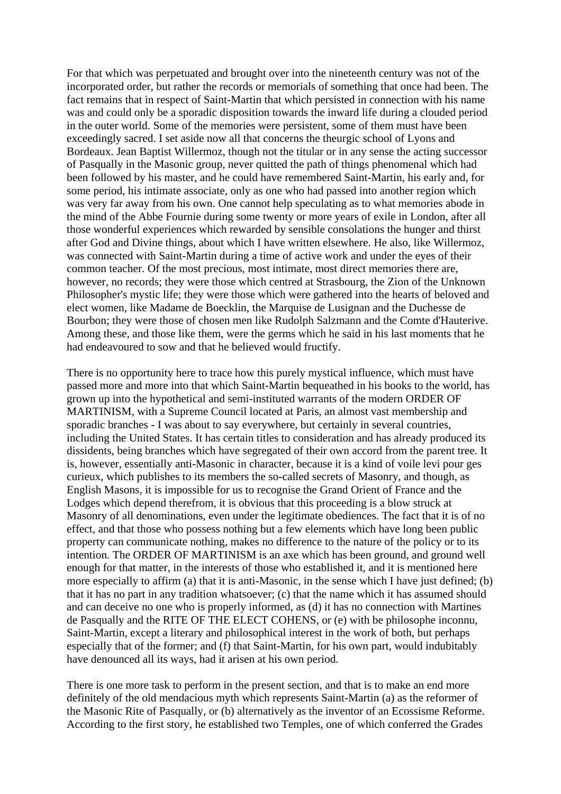For that which was perpetuated and brought over into the nineteenth century was not of the incorporated order, but rather the records or memorials of something that once had been. The fact remains that in respect of Saint-Martin that which persisted in connection with his name was and could only be a sporadic disposition towards the inward life during a clouded period in the outer world. Some of the memories were persistent, some of them must have been exceedingly sacred. I set aside now all that concerns the theurgic school of Lyons and Bordeaux. Jean Baptist Willermoz, though not the titular or in any sense the acting successor of Pasqually in the Masonic group, never quitted the path of things phenomenal which had been followed by his master, and he could have remembered Saint-Martin, his early and, for some period, his intimate associate, only as one who had passed into another region which was very far away from his own. One cannot help speculating as to what memories abode in the mind of the Abbe Fournie during some twenty or more years of exile in London, after all those wonderful experiences which rewarded by sensible consolations the hunger and thirst after God and Divine things, about which I have written elsewhere. He also, like Willermoz, was connected with Saint-Martin during a time of active work and under the eyes of their common teacher. Of the most precious, most intimate, most direct memories there are, however, no records; they were those which centred at Strasbourg, the Zion of the Unknown Philosopher's mystic life; they were those which were gathered into the hearts of beloved and elect women, like Madame de Boecklin, the Marquise de Lusignan and the Duchesse de Bourbon; they were those of chosen men like Rudolph Salzmann and the Comte d'Hauterive. Among these, and those like them, were the germs which he said in his last moments that he had endeavoured to sow and that he believed would fructify.

There is no opportunity here to trace how this purely mystical influence, which must have passed more and more into that which Saint-Martin bequeathed in his books to the world, has grown up into the hypothetical and semi-instituted warrants of the modern ORDER OF MARTINISM, with a Supreme Council located at Paris, an almost vast membership and sporadic branches - I was about to say everywhere, but certainly in several countries, including the United States. It has certain titles to consideration and has already produced its dissidents, being branches which have segregated of their own accord from the parent tree. It is, however, essentially anti-Masonic in character, because it is a kind of voile levi pour ges curieux, which publishes to its members the so-called secrets of Masonry, and though, as English Masons, it is impossible for us to recognise the Grand Orient of France and the Lodges which depend therefrom, it is obvious that this proceeding is a blow struck at Masonry of all denominations, even under the legitimate obediences. The fact that it is of no effect, and that those who possess nothing but a few elements which have long been public property can communicate nothing, makes no difference to the nature of the policy or to its intention. The ORDER OF MARTINISM is an axe which has been ground, and ground well enough for that matter, in the interests of those who established it, and it is mentioned here more especially to affirm (a) that it is anti-Masonic, in the sense which I have just defined; (b) that it has no part in any tradition whatsoever; (c) that the name which it has assumed should and can deceive no one who is properly informed, as (d) it has no connection with Martines de Pasqually and the RITE OF THE ELECT COHENS, or (e) with be philosophe inconnu, Saint-Martin, except a literary and philosophical interest in the work of both, but perhaps especially that of the former; and (f) that Saint-Martin, for his own part, would indubitably have denounced all its ways, had it arisen at his own period.

There is one more task to perform in the present section, and that is to make an end more definitely of the old mendacious myth which represents Saint-Martin (a) as the reformer of the Masonic Rite of Pasqually, or (b) alternatively as the inventor of an Ecossisme Reforme. According to the first story, he established two Temples, one of which conferred the Grades